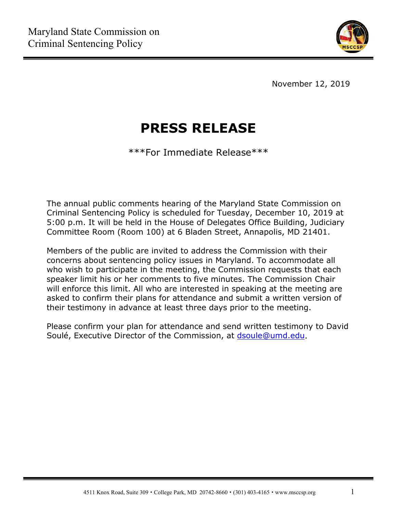

November 12, 2019

# **PRESS RELEASE**

\*\*\*For Immediate Release\*\*\*

The annual public comments hearing of the Maryland State Commission on Criminal Sentencing Policy is scheduled for Tuesday, December 10, 2019 at 5:00 p.m. It will be held in the House of Delegates Office Building, Judiciary Committee Room (Room 100) at 6 Bladen Street, Annapolis, MD 21401.

Members of the public are invited to address the Commission with their concerns about sentencing policy issues in Maryland. To accommodate all who wish to participate in the meeting, the Commission requests that each speaker limit his or her comments to five minutes. The Commission Chair will enforce this limit. All who are interested in speaking at the meeting are asked to confirm their plans for attendance and submit a written version of their testimony in advance at least three days prior to the meeting.

Please confirm your plan for attendance and send written testimony to David Soulé, Executive Director of the Commission, at [dsoule@umd.edu.](mailto:dsoule@umd.edu)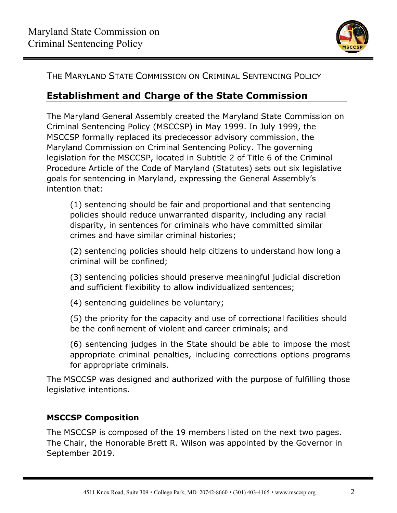

## THE MARYLAND STATE COMMISSION ON CRIMINAL SENTENCING POLICY

# **Establishment and Charge of the State Commission**

The Maryland General Assembly created the Maryland State Commission on Criminal Sentencing Policy (MSCCSP) in May 1999. In July 1999, the MSCCSP formally replaced its predecessor advisory commission, the Maryland Commission on Criminal Sentencing Policy. The governing legislation for the MSCCSP, located in Subtitle 2 of Title 6 of the Criminal Procedure Article of the Code of Maryland (Statutes) sets out six legislative goals for sentencing in Maryland, expressing the General Assembly's intention that:

(1) sentencing should be fair and proportional and that sentencing policies should reduce unwarranted disparity, including any racial disparity, in sentences for criminals who have committed similar crimes and have similar criminal histories;

(2) sentencing policies should help citizens to understand how long a criminal will be confined;

(3) sentencing policies should preserve meaningful judicial discretion and sufficient flexibility to allow individualized sentences;

(4) sentencing guidelines be voluntary;

(5) the priority for the capacity and use of correctional facilities should be the confinement of violent and career criminals; and

(6) sentencing judges in the State should be able to impose the most appropriate criminal penalties, including corrections options programs for appropriate criminals.

The MSCCSP was designed and authorized with the purpose of fulfilling those legislative intentions.

### **MSCCSP Composition**

The MSCCSP is composed of the 19 members listed on the next two pages. The Chair, the Honorable Brett R. Wilson was appointed by the Governor in September 2019.